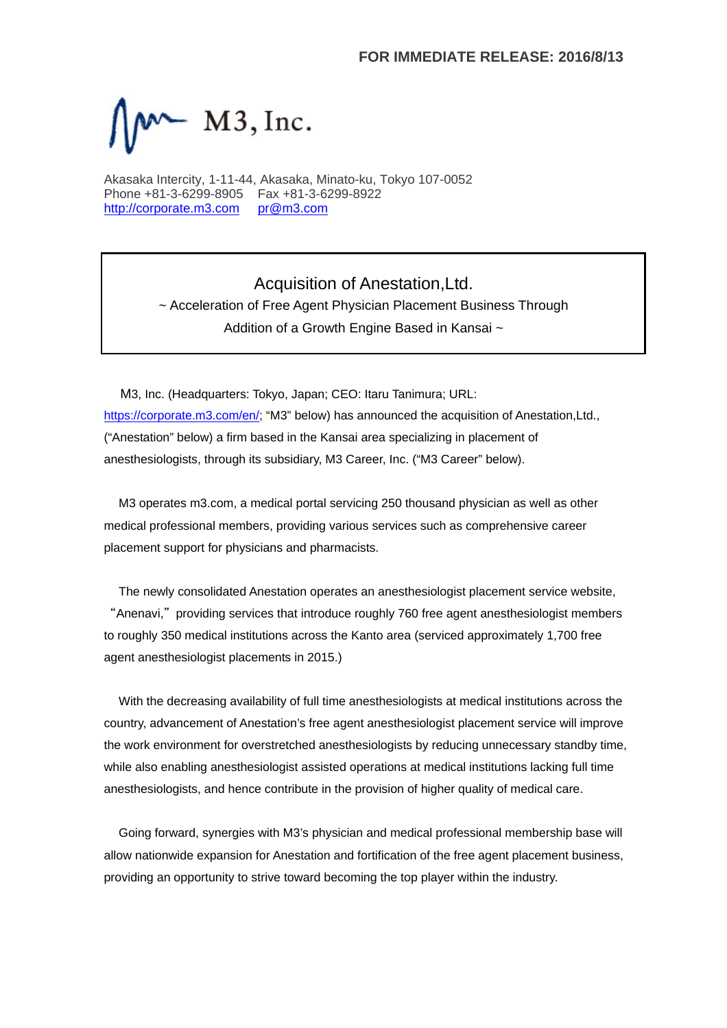

Akasaka Intercity, 1-11-44, Akasaka, Minato-ku, Tokyo 107-0052 Phone +81-3-6299-8905 Fax +81-3-6299-8922 http://corporate.m3.com pr@m3.com

> Acquisition of Anestation,Ltd. ~ Acceleration of Free Agent Physician Placement Business Through Addition of a Growth Engine Based in Kansai ~

M3, Inc. (Headquarters: Tokyo, Japan; CEO: Itaru Tanimura; URL: https://corporate.m3.com/en/; "M3" below) has announced the acquisition of Anestation, Ltd., ("Anestation" below) a firm based in the Kansai area specializing in placement of anesthesiologists, through its subsidiary, M3 Career, Inc. ("M3 Career" below).

M3 operates m3.com, a medical portal servicing 250 thousand physician as well as other medical professional members, providing various services such as comprehensive career placement support for physicians and pharmacists.

The newly consolidated Anestation operates an anesthesiologist placement service website, "Anenavi," providing services that introduce roughly 760 free agent anesthesiologist members to roughly 350 medical institutions across the Kanto area (serviced approximately 1,700 free agent anesthesiologist placements in 2015.)

With the decreasing availability of full time anesthesiologists at medical institutions across the country, advancement of Anestation's free agent anesthesiologist placement service will improve the work environment for overstretched anesthesiologists by reducing unnecessary standby time, while also enabling anesthesiologist assisted operations at medical institutions lacking full time anesthesiologists, and hence contribute in the provision of higher quality of medical care.

Going forward, synergies with M3's physician and medical professional membership base will allow nationwide expansion for Anestation and fortification of the free agent placement business, providing an opportunity to strive toward becoming the top player within the industry.